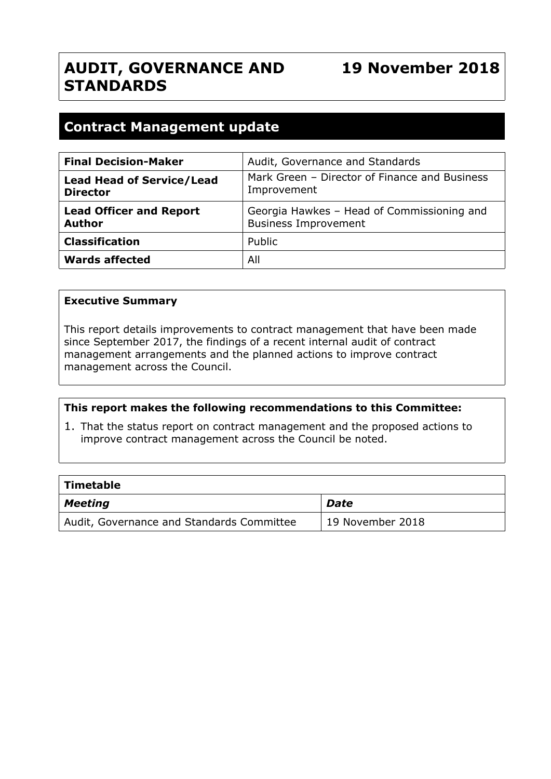# **AUDIT, GOVERNANCE AND STANDARDS**

# **Contract Management update**

| <b>Final Decision-Maker</b>                         | Audit, Governance and Standards                                           |
|-----------------------------------------------------|---------------------------------------------------------------------------|
| <b>Lead Head of Service/Lead</b><br><b>Director</b> | Mark Green - Director of Finance and Business<br>Improvement              |
| <b>Lead Officer and Report</b><br><b>Author</b>     | Georgia Hawkes - Head of Commissioning and<br><b>Business Improvement</b> |
| <b>Classification</b>                               | Public                                                                    |
| <b>Wards affected</b>                               | All                                                                       |

#### **Executive Summary**

This report details improvements to contract management that have been made since September 2017, the findings of a recent internal audit of contract management arrangements and the planned actions to improve contract management across the Council.

## **This report makes the following recommendations to this Committee:**

1. That the status report on contract management and the proposed actions to improve contract management across the Council be noted.

| $\mid$ Timetable                          |                  |
|-------------------------------------------|------------------|
| $\vert$ Meeting                           | <b>Date</b>      |
| Audit, Governance and Standards Committee | 19 November 2018 |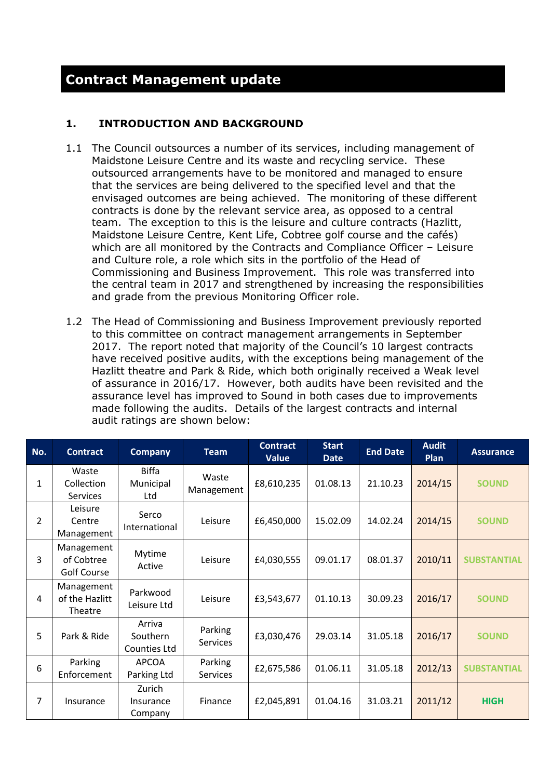# **Contract Management update**

## **1. INTRODUCTION AND BACKGROUND**

- 1.1 The Council outsources a number of its services, including management of Maidstone Leisure Centre and its waste and recycling service. These outsourced arrangements have to be monitored and managed to ensure that the services are being delivered to the specified level and that the envisaged outcomes are being achieved. The monitoring of these different contracts is done by the relevant service area, as opposed to a central team. The exception to this is the leisure and culture contracts (Hazlitt, Maidstone Leisure Centre, Kent Life, Cobtree golf course and the cafés) which are all monitored by the Contracts and Compliance Officer – Leisure and Culture role, a role which sits in the portfolio of the Head of Commissioning and Business Improvement. This role was transferred into the central team in 2017 and strengthened by increasing the responsibilities and grade from the previous Monitoring Officer role.
- 1.2 The Head of Commissioning and Business Improvement previously reported to this committee on contract management arrangements in September 2017. The report noted that majority of the Council's 10 largest contracts have received positive audits, with the exceptions being management of the Hazlitt theatre and Park & Ride, which both originally received a Weak level of assurance in 2016/17. However, both audits have been revisited and the assurance level has improved to Sound in both cases due to improvements made following the audits. Details of the largest contracts and internal audit ratings are shown below:

| No.            | <b>Contract</b>                         | <b>Company</b>                     | <b>Team</b>                | <b>Contract</b><br><b>Value</b> | <b>Start</b><br><b>Date</b> | <b>End Date</b> | <b>Audit</b><br>Plan | <b>Assurance</b>   |
|----------------|-----------------------------------------|------------------------------------|----------------------------|---------------------------------|-----------------------------|-----------------|----------------------|--------------------|
| 1              | Waste<br>Collection<br><b>Services</b>  | <b>Biffa</b><br>Municipal<br>Ltd   | Waste<br>Management        | £8,610,235                      | 01.08.13                    | 21.10.23        | 2014/15              | <b>SOUND</b>       |
| $\overline{2}$ | Leisure<br>Centre<br>Management         | Serco<br>International             | Leisure                    | £6,450,000                      | 15.02.09                    | 14.02.24        | 2014/15              | <b>SOUND</b>       |
| 3              | Management<br>of Cobtree<br>Golf Course | Mytime<br>Active                   | Leisure                    | £4,030,555                      | 09.01.17                    | 08.01.37        | 2010/11              | <b>SUBSTANTIAL</b> |
| 4              | Management<br>of the Hazlitt<br>Theatre | Parkwood<br>Leisure Ltd            | Leisure                    | £3,543,677                      | 01.10.13                    | 30.09.23        | 2016/17              | <b>SOUND</b>       |
| 5              | Park & Ride                             | Arriva<br>Southern<br>Counties Ltd | Parking<br><b>Services</b> | £3,030,476                      | 29.03.14                    | 31.05.18        | 2016/17              | <b>SOUND</b>       |
| 6              | Parking<br>Enforcement                  | <b>APCOA</b><br>Parking Ltd        | Parking<br>Services        | £2,675,586                      | 01.06.11                    | 31.05.18        | 2012/13              | <b>SUBSTANTIAL</b> |
| 7              | Insurance                               | Zurich<br>Insurance<br>Company     | Finance                    | £2,045,891                      | 01.04.16                    | 31.03.21        | 2011/12              | <b>HIGH</b>        |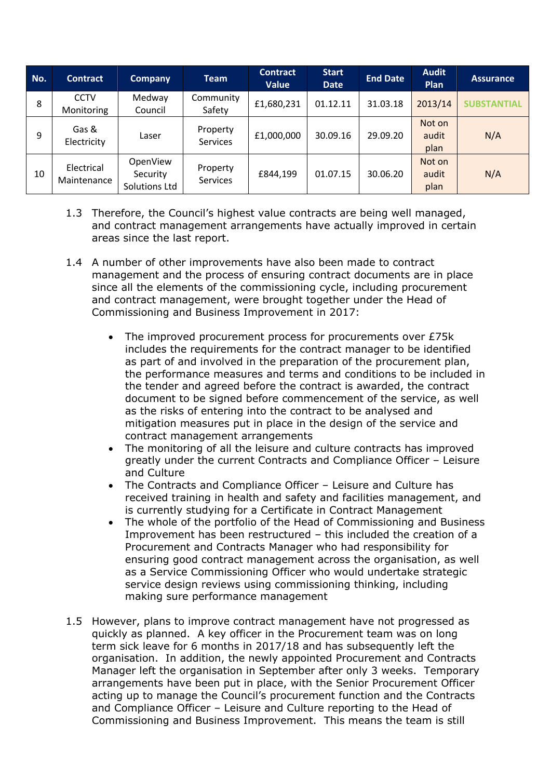| No. | <b>Contract</b>           | <b>Company</b>                        | <b>Team</b>                 | <b>Contract</b><br><b>Value</b> | <b>Start</b><br><b>Date</b> | <b>End Date</b> | <b>Audit</b><br>Plan    | <b>Assurance</b>  |
|-----|---------------------------|---------------------------------------|-----------------------------|---------------------------------|-----------------------------|-----------------|-------------------------|-------------------|
| 8   | <b>CCTV</b><br>Monitoring | Medway<br>Council                     | Community<br>Safety         | £1,680,231                      | 01.12.11                    | 31.03.18        | 2013/14                 | <b>SUBSTANTIA</b> |
| 9   | Gas &<br>Electricity      | Laser                                 | Property<br>Services        | £1,000,000                      | 30.09.16                    | 29.09.20        | Not on<br>audit<br>plan | N/A               |
| 10  | Electrical<br>Maintenance | OpenView<br>Security<br>Solutions Ltd | Property<br><b>Services</b> | £844,199                        | 01.07.15                    | 30.06.20        | Not on<br>audit<br>plan | N/A               |

- 1.3 Therefore, the Council's highest value contracts are being well managed, and contract management arrangements have actually improved in certain areas since the last report.
- 1.4 A number of other improvements have also been made to contract management and the process of ensuring contract documents are in place since all the elements of the commissioning cycle, including procurement and contract management, were brought together under the Head of Commissioning and Business Improvement in 2017:
	- The improved procurement process for procurements over £75k includes the requirements for the contract manager to be identified as part of and involved in the preparation of the procurement plan, the performance measures and terms and conditions to be included in the tender and agreed before the contract is awarded, the contract document to be signed before commencement of the service, as well as the risks of entering into the contract to be analysed and mitigation measures put in place in the design of the service and contract management arrangements
	- The monitoring of all the leisure and culture contracts has improved greatly under the current Contracts and Compliance Officer – Leisure and Culture
	- The Contracts and Compliance Officer Leisure and Culture has received training in health and safety and facilities management, and is currently studying for a Certificate in Contract Management
	- The whole of the portfolio of the Head of Commissioning and Business Improvement has been restructured – this included the creation of a Procurement and Contracts Manager who had responsibility for ensuring good contract management across the organisation, as well as a Service Commissioning Officer who would undertake strategic service design reviews using commissioning thinking, including making sure performance management
- 1.5 However, plans to improve contract management have not progressed as quickly as planned. A key officer in the Procurement team was on long term sick leave for 6 months in 2017/18 and has subsequently left the organisation. In addition, the newly appointed Procurement and Contracts Manager left the organisation in September after only 3 weeks. Temporary arrangements have been put in place, with the Senior Procurement Officer acting up to manage the Council's procurement function and the Contracts and Compliance Officer – Leisure and Culture reporting to the Head of Commissioning and Business Improvement. This means the team is still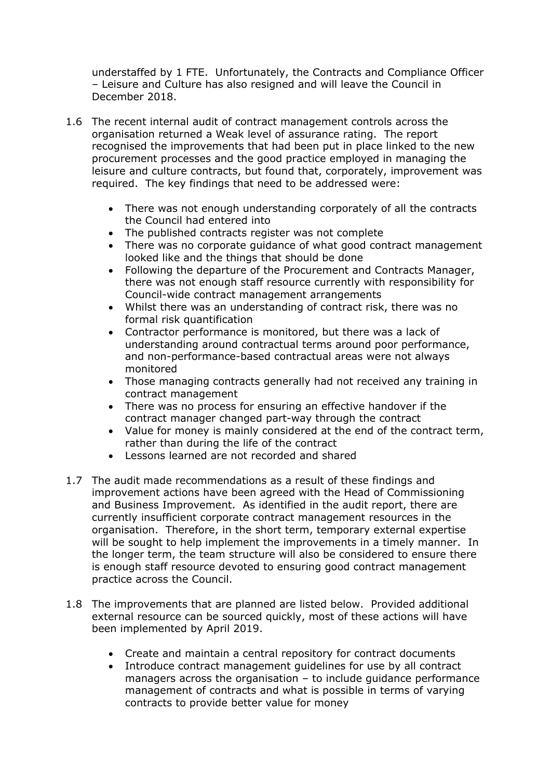understaffed by 1 FTE. Unfortunately, the Contracts and Compliance Officer – Leisure and Culture has also resigned and will leave the Council in December 2018.

- 1.6 The recent internal audit of contract management controls across the organisation returned a Weak level of assurance rating. The report recognised the improvements that had been put in place linked to the new procurement processes and the good practice employed in managing the leisure and culture contracts, but found that, corporately, improvement was required. The key findings that need to be addressed were:
	- There was not enough understanding corporately of all the contracts the Council had entered into
	- The published contracts register was not complete
	- There was no corporate guidance of what good contract management looked like and the things that should be done
	- Following the departure of the Procurement and Contracts Manager, there was not enough staff resource currently with responsibility for Council-wide contract management arrangements
	- Whilst there was an understanding of contract risk, there was no formal risk quantification
	- Contractor performance is monitored, but there was a lack of understanding around contractual terms around poor performance, and non-performance-based contractual areas were not always monitored
	- Those managing contracts generally had not received any training in contract management
	- There was no process for ensuring an effective handover if the contract manager changed part-way through the contract
	- Value for money is mainly considered at the end of the contract term, rather than during the life of the contract
	- Lessons learned are not recorded and shared
- 1.7 The audit made recommendations as a result of these findings and improvement actions have been agreed with the Head of Commissioning and Business Improvement. As identified in the audit report, there are currently insufficient corporate contract management resources in the organisation. Therefore, in the short term, temporary external expertise will be sought to help implement the improvements in a timely manner. In the longer term, the team structure will also be considered to ensure there is enough staff resource devoted to ensuring good contract management practice across the Council.
- 1.8 The improvements that are planned are listed below. Provided additional external resource can be sourced quickly, most of these actions will have been implemented by April 2019.
	- Create and maintain a central repository for contract documents
	- Introduce contract management guidelines for use by all contract managers across the organisation – to include guidance performance management of contracts and what is possible in terms of varying contracts to provide better value for money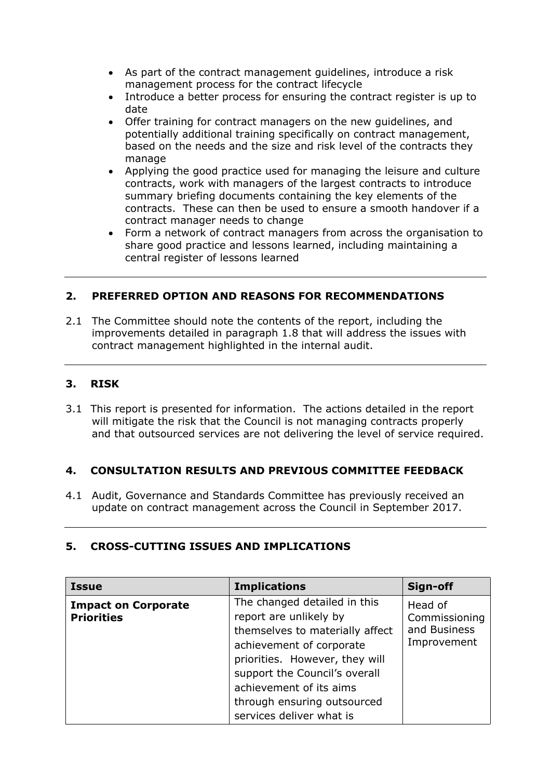- As part of the contract management guidelines, introduce a risk management process for the contract lifecycle
- Introduce a better process for ensuring the contract register is up to date
- Offer training for contract managers on the new guidelines, and potentially additional training specifically on contract management, based on the needs and the size and risk level of the contracts they manage
- Applying the good practice used for managing the leisure and culture contracts, work with managers of the largest contracts to introduce summary briefing documents containing the key elements of the contracts. These can then be used to ensure a smooth handover if a contract manager needs to change
- Form a network of contract managers from across the organisation to share good practice and lessons learned, including maintaining a central register of lessons learned

# **2. PREFERRED OPTION AND REASONS FOR RECOMMENDATIONS**

2.1 The Committee should note the contents of the report, including the improvements detailed in paragraph 1.8 that will address the issues with contract management highlighted in the internal audit.

# **3. RISK**

3.1 This report is presented for information. The actions detailed in the report will mitigate the risk that the Council is not managing contracts properly and that outsourced services are not delivering the level of service required.

## **4. CONSULTATION RESULTS AND PREVIOUS COMMITTEE FEEDBACK**

4.1 Audit, Governance and Standards Committee has previously received an update on contract management across the Council in September 2017.

## **5. CROSS-CUTTING ISSUES AND IMPLICATIONS**

| <b>Issue</b>                                    | <b>Implications</b>                                                                                                                                                                                                                                                            | Sign-off                                                |
|-------------------------------------------------|--------------------------------------------------------------------------------------------------------------------------------------------------------------------------------------------------------------------------------------------------------------------------------|---------------------------------------------------------|
| <b>Impact on Corporate</b><br><b>Priorities</b> | The changed detailed in this<br>report are unlikely by<br>themselves to materially affect<br>achievement of corporate<br>priorities. However, they will<br>support the Council's overall<br>achievement of its aims<br>through ensuring outsourced<br>services deliver what is | Head of<br>Commissioning<br>and Business<br>Improvement |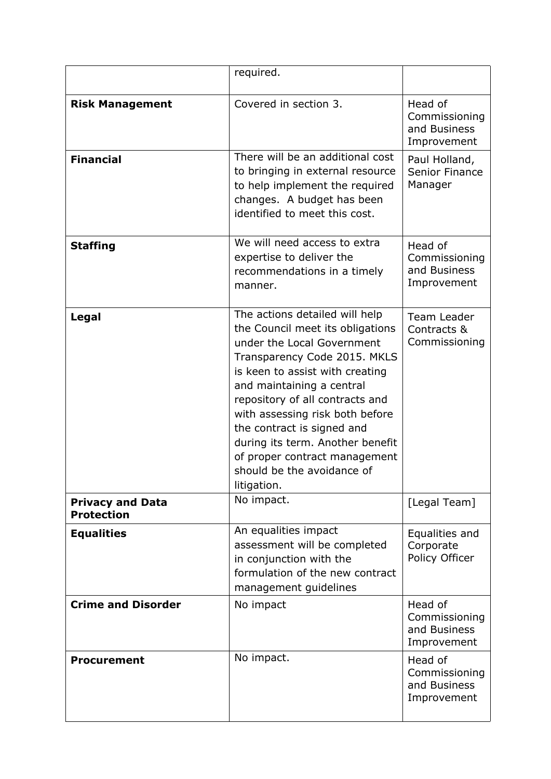|                                              | required.                                                                                                                                                                                                                                                                                                                                                                                                              |                                                         |
|----------------------------------------------|------------------------------------------------------------------------------------------------------------------------------------------------------------------------------------------------------------------------------------------------------------------------------------------------------------------------------------------------------------------------------------------------------------------------|---------------------------------------------------------|
| <b>Risk Management</b>                       | Covered in section 3.                                                                                                                                                                                                                                                                                                                                                                                                  | Head of<br>Commissioning<br>and Business<br>Improvement |
| <b>Financial</b>                             | There will be an additional cost<br>to bringing in external resource<br>to help implement the required<br>changes. A budget has been<br>identified to meet this cost.                                                                                                                                                                                                                                                  | Paul Holland,<br><b>Senior Finance</b><br>Manager       |
| <b>Staffing</b>                              | We will need access to extra<br>expertise to deliver the<br>recommendations in a timely<br>manner.                                                                                                                                                                                                                                                                                                                     | Head of<br>Commissioning<br>and Business<br>Improvement |
| <b>Legal</b>                                 | The actions detailed will help<br>the Council meet its obligations<br>under the Local Government<br>Transparency Code 2015. MKLS<br>is keen to assist with creating<br>and maintaining a central<br>repository of all contracts and<br>with assessing risk both before<br>the contract is signed and<br>during its term. Another benefit<br>of proper contract management<br>should be the avoidance of<br>litigation. | Team Leader<br>Contracts &<br>Commissioning             |
| <b>Privacy and Data</b><br><b>Protection</b> | No impact.                                                                                                                                                                                                                                                                                                                                                                                                             | [Legal Team]                                            |
| <b>Equalities</b>                            | An equalities impact<br>assessment will be completed<br>in conjunction with the<br>formulation of the new contract<br>management guidelines                                                                                                                                                                                                                                                                            | Equalities and<br>Corporate<br>Policy Officer           |
| <b>Crime and Disorder</b>                    | No impact                                                                                                                                                                                                                                                                                                                                                                                                              | Head of<br>Commissioning<br>and Business<br>Improvement |
| <b>Procurement</b>                           | No impact.                                                                                                                                                                                                                                                                                                                                                                                                             | Head of<br>Commissioning<br>and Business<br>Improvement |